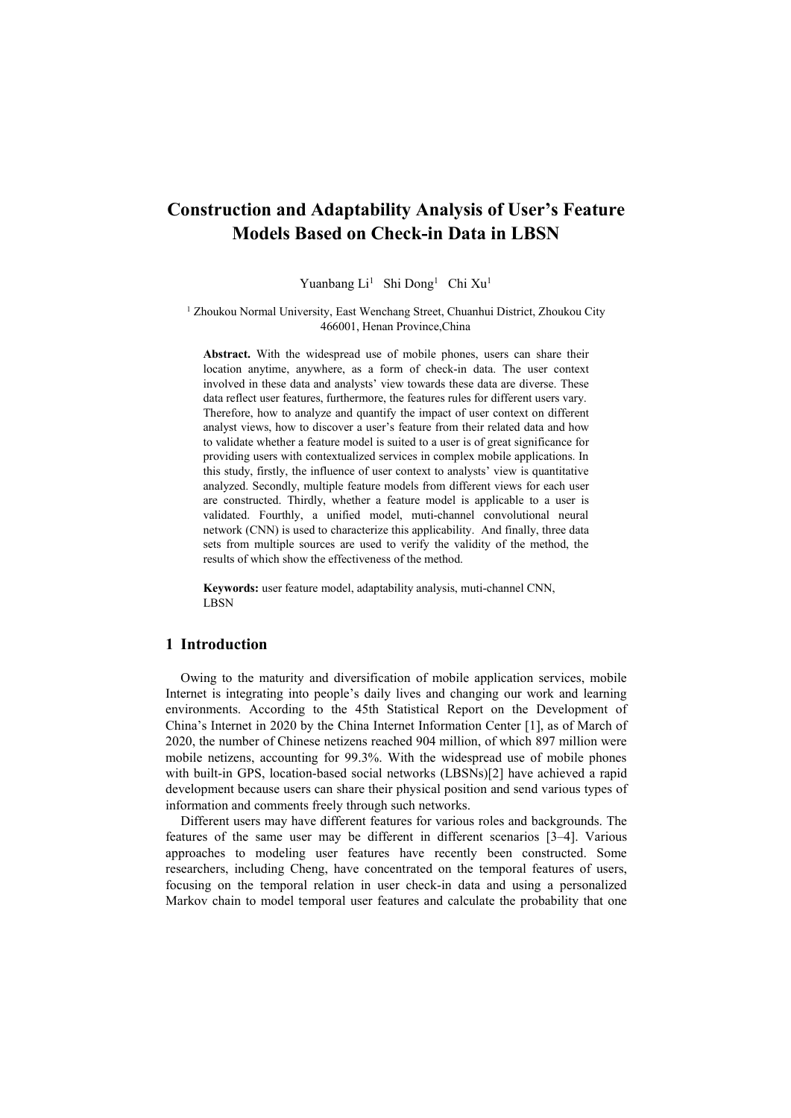# **Construction and Adaptability Analysis of User's Feature Models Based on Check-in Data in LBSN**

Yuanbang Li<sup>1</sup> Shi Dong<sup>1</sup> Chi Xu<sup>1</sup> 1

<sup>1</sup> Zhoukou Normal University, East Wenchang Street, Chuanhui District, Zhoukou City 466001, Henan Province,China

**Abstract.** With the widespread use of mobile phones, users can share their location anytime, anywhere, as a form of check-in data. The user context involved in these data and analysts' view towards these data are diverse. These data reflect user features, furthermore, the features rules for different users vary. Therefore, how to analyze and quantify the impact of user context on different analyst views, how to discover a user's feature from their related data and how to validate whether a feature model is suited to a user is of great significance for providing users with contextualized services in complex mobile applications. In this study, firstly, the influence of user context to analysts' view is quantitative analyzed. Secondly, multiple feature models from different views for each user are constructed. Thirdly, whether a feature model is applicable to a user is validated. Fourthly, a unified model, muti-channel convolutional neural network (CNN) is used to characterize this applicability. And finally, three data sets from multiple sources are used to verify the validity of the method, the results of which show the effectiveness of the method.

**Keywords:** user feature model, adaptability analysis, muti-channel CNN, **LBSN** 

# **1 Introduction**

Owing to the maturity and diversification of mobile application services, mobile Internet is integrating into people's daily lives and changing our work and learning environments. According to the 45th Statistical Report on the Development of China's Internet in 2020 by the China Internet Information Center [1], as of March of 2020, the number of Chinese netizens reached 904 million, of which 897 million were mobile netizens, accounting for 99.3%. With the widespread use of mobile phones with built-in GPS, location-based social networks (LBSNs)[2] have achieved a rapid development because users can share their physical position and send various types of information and comments freely through such networks.

Different users may have different features for various roles and backgrounds. The features of the same user may be different in different scenarios [3–4]. Various approaches to modeling user features have recently been constructed. Some researchers, including Cheng, have concentrated on the temporal features of users, focusing on the temporal relation in user check-in data and using a personalized Markov chain to model temporal user features and calculate the probability that one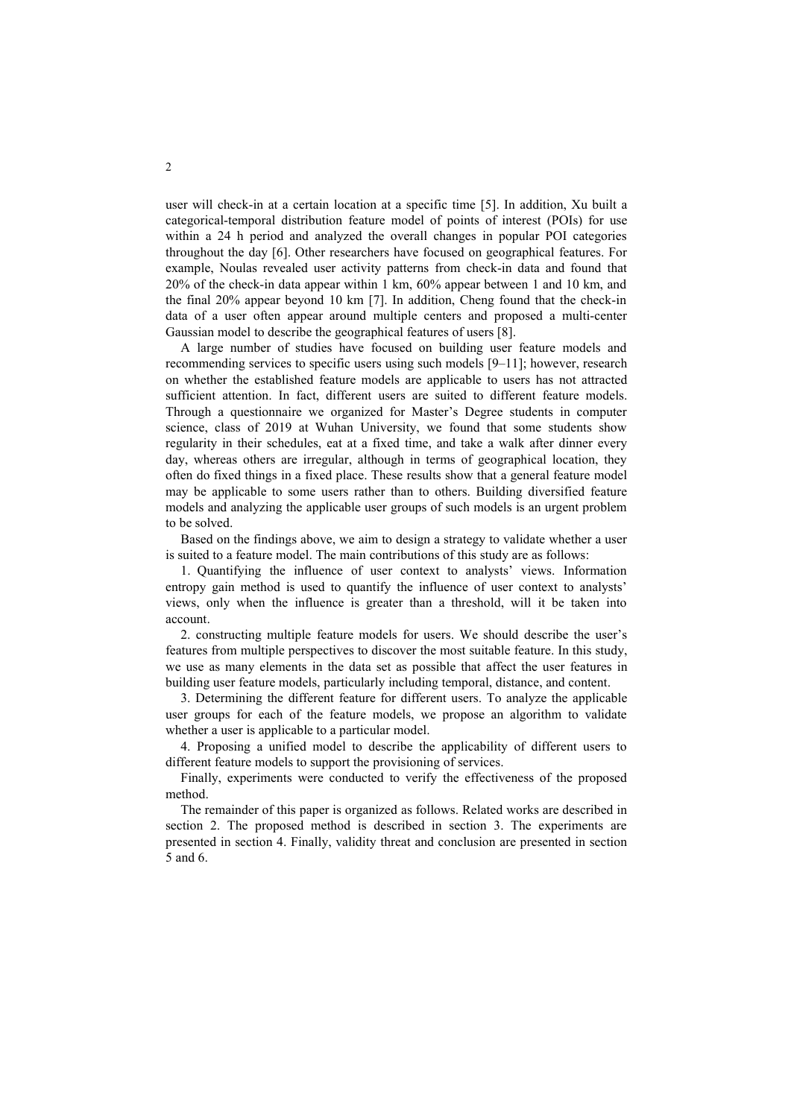user will check-in at a certain location at a specific time [5]. In addition, Xu built a categorical-temporal distribution feature model of points of interest (POIs) for use within a 24 h period and analyzed the overall changes in popular POI categories throughout the day [6]. Other researchers have focused on geographical features. For example, Noulas revealed user activity patterns from check-in data and found that 20% of the check-indata appear within 1 km, 60% appear between 1 and 10 km, and the final 20% appear beyond 10 km [7]. In addition, Cheng found that the check-in data of a user often appeararound multiple centers and proposed a multi-center Gaussian model to describe the geographical features of users [8].

A large number of studies have focused on building user feature models and recommending services to specific users using such models [9–11]; however, research on whether the established feature models are applicable to users has not attracted sufficient attention. In fact, different users are suited to different feature models.<br>Through a questionnaire we organized for Master's Degree students in computer science, class of 2019 at Wuhan University, we found that some students show regularity in their schedules, eat at a fixed time, and take a walk after dinner every day, whereas others are irregular, although in terms of geographical location, they often do fixed things in a fixed place. These results show that a general feature model may be applicable to some users rather than to others. Building diversified feature models and analyzing the applicable user groups of such models is an urgent problem to be solved.

Based on the findings above, we aim to design a strategy to validate whether a user is suited to a feature model. The main contributions ofthis study are as follows:

1. Quantifying the influence of user context to analysts' views. Information entropy gain method is used to quantify the influence of user context to analysts' views, only when the influence is greater than a threshold, will it be taken into account.

2. constructing multiple feature models for users. We should describe the user's features from multiple perspectives to discover the most suitable feature. In this study, we use as many elements in the data set as possible that affect the user features in building user feature models, particularly including temporal, distance, and content.

3. Determining the different feature for different users. To analyze the applicable user groups for each of the feature models, we propose an algorithm to validate whether a user is applicable to a particular model.

4. Proposing a unified model to describe the applicability of different users to different feature models to support the provisioning of services.

Finally, experiments were conducted to verify the effectiveness of the proposed method.

The remainder of this paper is organized as follows. Related works are described in section 2. The proposed method is described in section 3.The experiments are presented in section 4. Finally, validity threat and conclusion are presented in section 5 and 6.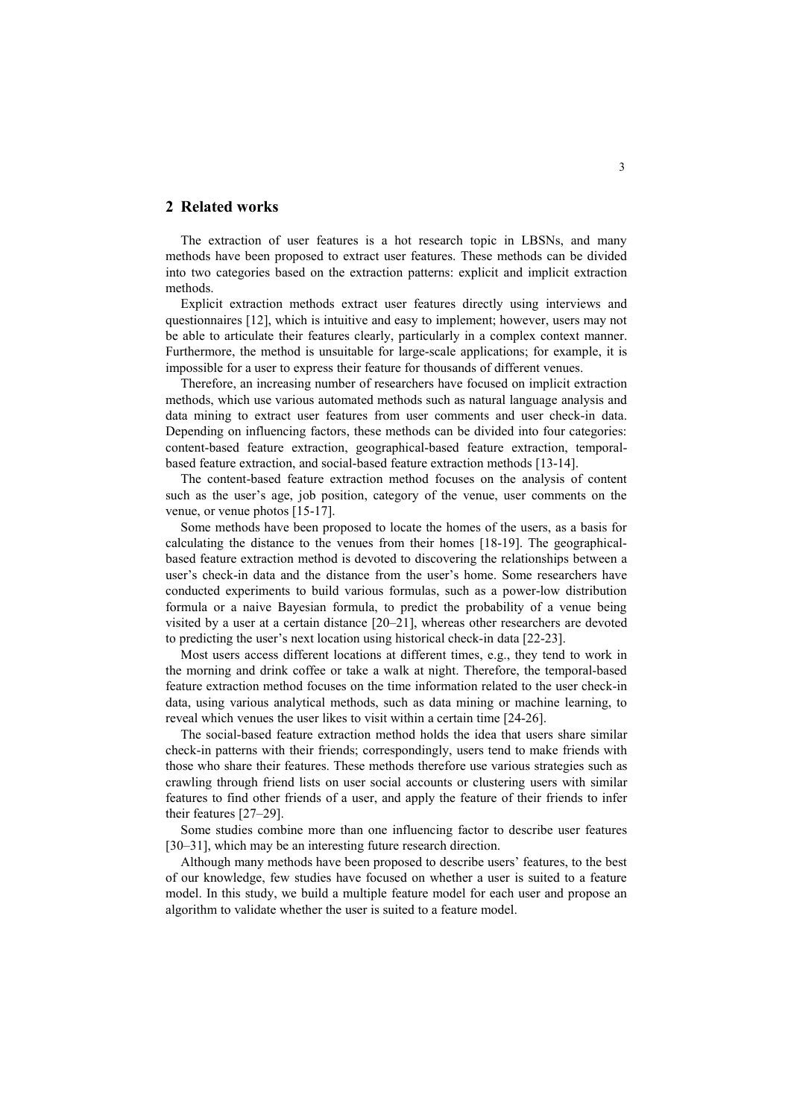## **2 Related works**

The extraction of user features is a hot research topic in LBSNs, and many methods have been proposed to extractuser features. These methods can be divided into two categories based on the extraction patterns: explicit and implicit extraction methods.

Explicit extraction methods extract user features directly using interviews and questionnaires [12], which is intuitive and easy to implement; however, users may not be able to articulate their features clearly, particularly in a complex context manner. Furthermore, the method is unsuitable for large-scale applications; for example, it is impossible for a user to express their feature for thousands of different venues.

Therefore, an increasing number of researchers have focused on implicit extraction methods, which use various automated methods such as natural language analysis and data mining to extract user features from user comments and user check-in data. Depending on influencing factors, these methods can be divided into four categories: content-based feature extraction, geographical-based feature extraction, temporal based feature extraction, and social-based feature extraction methods [13-14].

The content-based feature extraction method focuses on the analysis of content such as the user's age, job position, category of the venue, user comments on the venue, or venue photos [15-17].

Some methods have been proposed to locate the homes of the users, as a basis for calculating the distance to the venues from their homes [18-19]. The geographical based feature extraction method is devoted to discovering the relationships between a user's check-in data and the distance from the user's home. Some researchers have conducted experiments to build various formulas, such as a power-low distribution formula or a naive Bayesian formula, to predict the probability of a venue being visited by a user at a certain distance  $[20-21]$ , whereas other researchers are devoted to predicting the user's next location using historical check-in data [22-23].

Most users access different locations at different times, e.g., they tend to work in the morning and drink coffee or take a walk at night. Therefore, the temporal-based feature extraction method focuses on the time information related to the user check-in data, using various analytical methods, such as data mining or machine learning, to reveal which venues the user likes to visit within a certain time [24-26].

The social-based feature extraction method holds the idea that users share similar check-in patterns with their friends; correspondingly, users tend to make friends with those who share their features. These methods therefore use various strategies such as crawling through friend lists on user social accounts or clustering users with similar features to find other friends of a user, and apply the feature of their friends to infer their features [27–29].

Some studies combine more than one influencing factor to describe user features [30–31], which may be an interesting future research direction.

Although many methods have been proposed to describe users' features, to the best of our knowledge, few studies have focused on whether a useris suited to a feature model. In this study, we build a multiple feature model for each user and propose an algorithm to validate whether the user is suited to a feature model.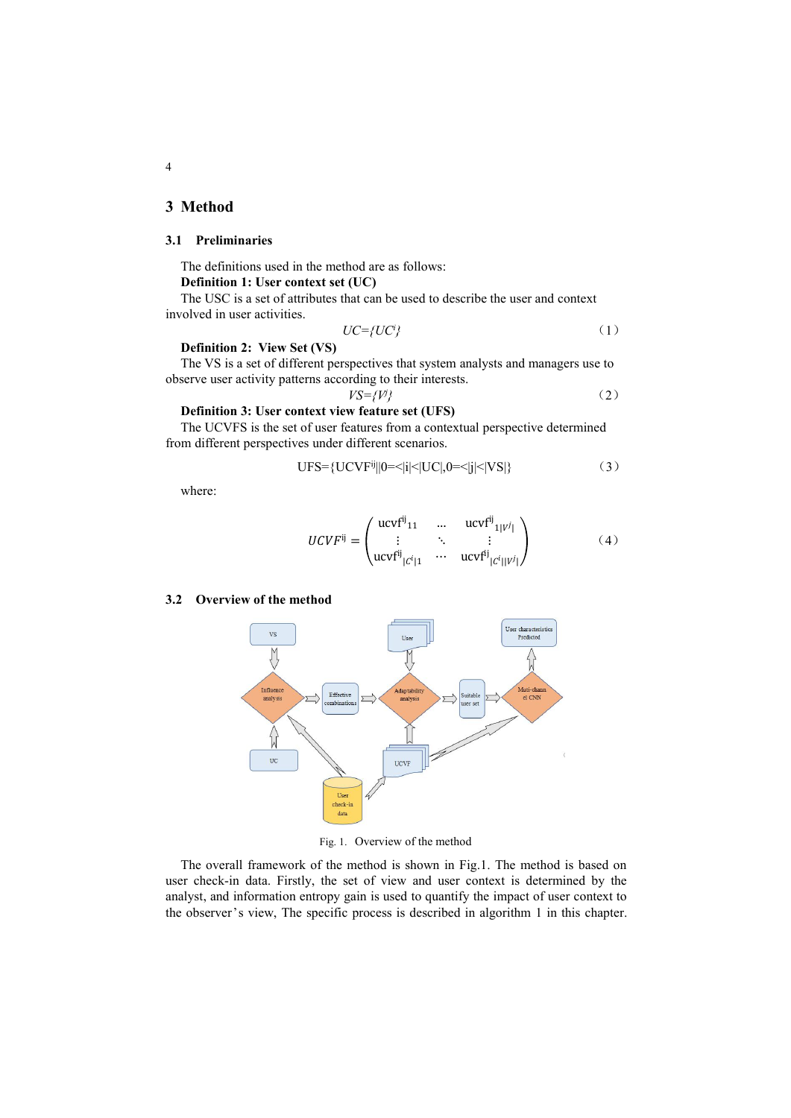# **3 Method**

# **3.1 Preliminaries**

The definitions used in the method are as follows: **Definition 1: User context set (UC)**

The USC is a set of attributes that can be used to describe the user and context involved in user activities.

$$
UC = \{UC^i\} \tag{1}
$$

### **Definition 2: View Set (VS)**

The VS is a set of different perspectives that system analysts and managers use to observe user activity patterns according to their interests.

 $VS = \{V\}$ 

*<sup>j</sup>}* (2)

# **Definition 3: User context view feature set (UFS)**

The UCVFS is the set of user features from a contextual perspective determined from different perspectives under different scenarios.

$$
UFS = \{UCVF^{ij}||0 = \langle i|\langle UC|, 0 = \langle j|\langle VS|\} \tag{3}
$$

where:

$$
UCVF^{ij} = \begin{pmatrix} ucvf^{ij}_{11} & \cdots & ucvf^{ij}_{1|V^j|} \\ \vdots & \ddots & \vdots \\ ucvf^{ij}_{|C^i|1} & \cdots & ucvf^{ij}_{|C^i||V^j|} \end{pmatrix}
$$
 (4)

#### **3.2 Overview of the method**



Fig. 1. Overview of the method

The overall framework of the method is shown in Fig.1. The method is based on user check-in data. Firstly, the set of view and user context is determined by the analyst, and information entropy gain is used to quantify the impact of user context to the observer's view, The specific process is described in algorithm 1 in this chapter.

4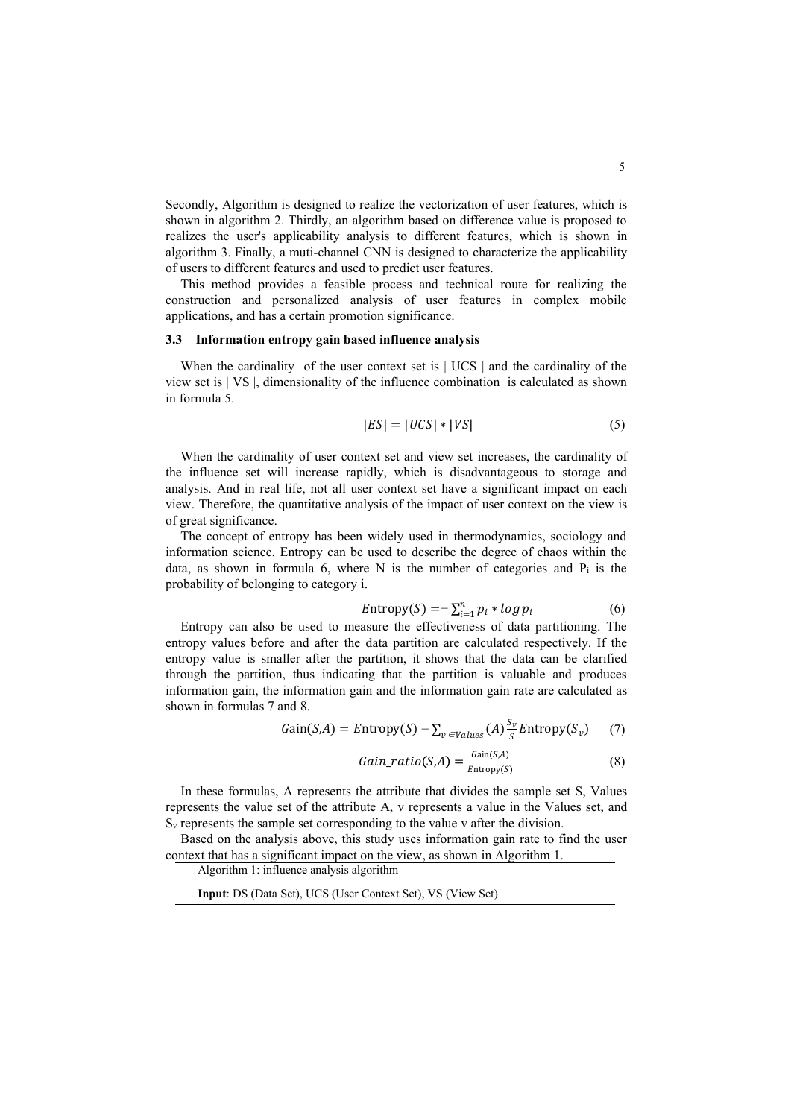Secondly, Algorithm is designed to realize the vectorization of user features, which is shown in algorithm 2. Thirdly, an algorithm based on difference value is proposed to realizes the user's applicability analysis to different features, which is shown in algorithm 3. Finally, a muti-channel CNN is designed to characterize the applicability of users to different features and used to predict user features.

This method provides a feasible process and technical route for realizing the construction and personalized analysis of user features in complex mobile applications, and has a certain promotion significance.

### **3.3 Information entropy gain based influence analysis**

When the cardinality of the user context set is  $|$  UCS  $|$  and the cardinality of the view set is |VS |, dimensionality of the influence combination is calculated as shown in formula 5.

$$
|ES| = |UCS| * |VS| \tag{5}
$$

When the cardinality of user context set and view set increases, the cardinality of the influence set will increase rapidly, which is disadvantageous to storage and analysis. And in real life, not all user context set have a significant impact on each view. Therefore, the quantitative analysis of the impact of user context on the view is of great significance.

The concept of entropy has been widely used in thermodynamics, sociology and information science. Entropy can be used to describe the degree of chaos within the data, as shown in formula 6, where N is the number of categories and  $P_i$  is the probability of belonging to category i.

$$
Entropy(S) = -\sum_{i=1}^{n} p_i * log p_i \tag{6}
$$

Entropy can also be used to measure the effectiveness of data partitioning. The entropy values before and after the data partition are calculated respectively. If the entropy value is smaller after the partition, it shows that the data can be clarified through the partition, thus indicating that the partition is valuable and produces information gain, the information gain and the information gain rate are calculated as shown in formulas 7 and 8.

$$
Gain(S, A) = Entropy(S) - \sum_{v \in Values} (A) \frac{S_v}{S} Entropy(S_v) \tag{7}
$$

$$
Gain\_ratio(S, A) = \frac{Gain(S, A)}{Entropy(S)} \tag{8}
$$

In these formulas, A represents the attribute that divides the sample set S, Values represents the value set of the attribute A, v represents a value in the Values set, and  $S_{v}$  represents the sample set corresponding to the value v after the division.

Based on the analysis above, this study uses information gain rate to find the user context that has a significant impact on the view, as shown in Algorithm 1.

Algorithm 1: influence analysis algorithm

**Input**: DS (Data Set), UCS (User Context Set), VS (View Set)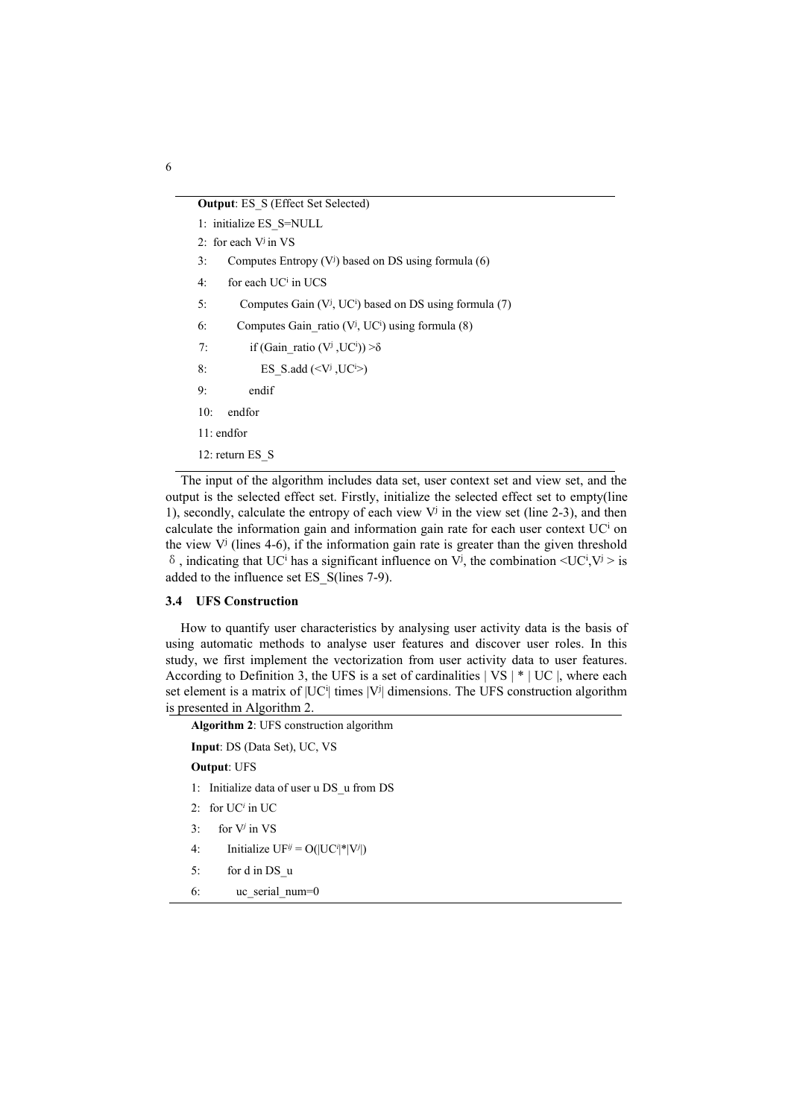### **Output: ES\_S (Effect Set Selected)**

- 1: initialize ES\_S=NULL
- 2: for each V<sup>j</sup> in VS
- 3: Computes Entropy  $(V<sup>j</sup>)$  based on DS using formula (6)
- $4:$  for each UC<sup>i</sup> in UCS
- 5: Computes Gain (V<sup>j</sup>, UC<sup>i</sup>) based on DS using formula (7)
- 6: Computes Gain\_ratio  $(V^j, UC^i)$  using formula  $(8)$
- 7: if  $(Gain\_ratio (V^j, UC^i)) > \delta$
- 8: ES\_S.add  $(*Vi*, *UC*<sup>i</sup>)$
- 9: endif
- 10: endfor
- 11: endfor
- 12: return ES\_S

The input of the algorithm includes data set, user context set and view set, and the output is the selected effect set. Firstly, initialize the selected effect set to empty(line 1), secondly, calculate the entropy of each view  $V^j$  in the view set (line 2-3), and then calculate the information gain and information gain rate for each user context UC <sup>i</sup> on the view  $V^j$  (lines 4-6), if the information gain rate is greater than the given threshold  $\delta$ , indicating that UC<sup>i</sup> has a significant influence on V<sup>j</sup>, the combination  $\langle$ UC<sup>i</sup>,V<sup>j</sup> > is added to the influence set ES\_S(lines 7-9).

### **3.4 UFS Construction**

How to quantify user characteristics by analysing user activity data is the basis of using automatic methods to analyse user features and discover user roles. In this study, we first implement the vectorization from user activity data to user features. According to Definition 3, the UFS is a set of cardinalities  $|VS| * |UC|$ , where each set element is a matrix of  $|UC^i|$  times  $|V^j|$  dimensions. The UFS construction algorithm is presented in Algorithm 2.

**Algorithm 2**: UFS construction algorithm

**Input**: DS (Data Set), UC, VS

**Output**: UFS

1: Initialize data of user u DS\_u from DS

- 2: for  $UC<sup>i</sup>$  in UC
- 3: for  $V^j$  in  $VS$
- 4: Initialize  $UF^{ij} = O(|UC^{i}|^*|V^{j}|)$
- 5: for d in DS\_u
- 6: uc\_serial\_num=0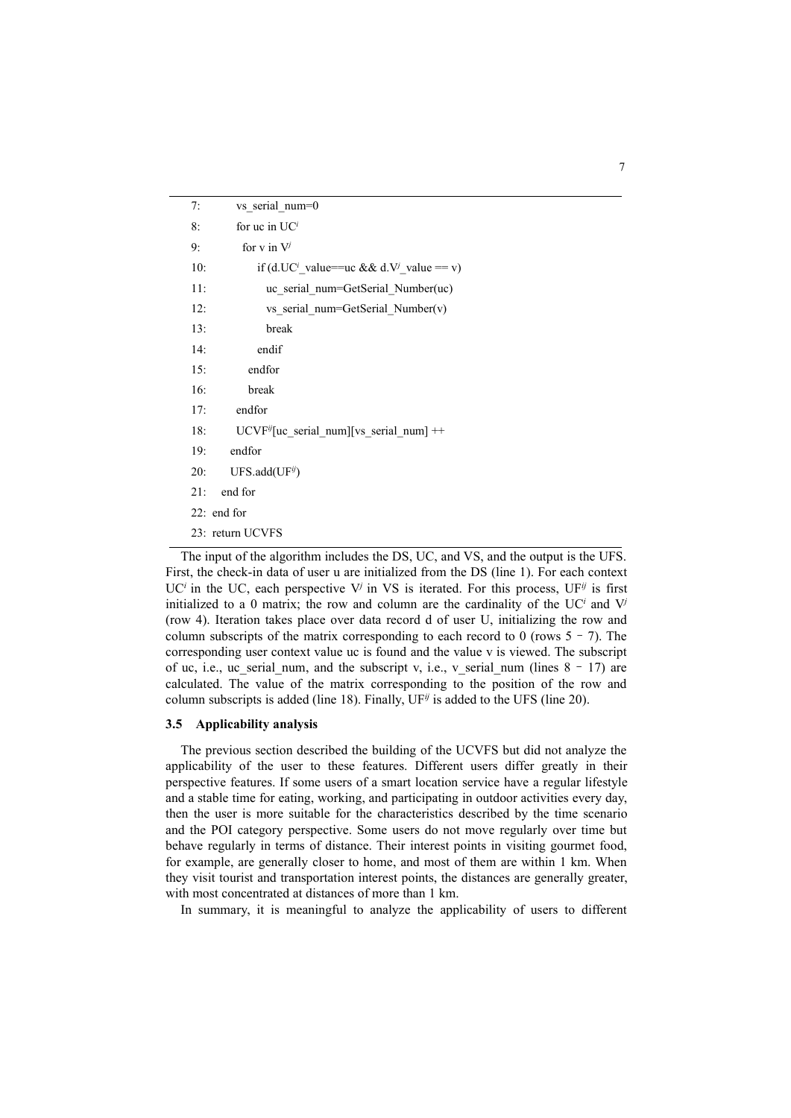| 7:  | vs serial num=0                                                               |
|-----|-------------------------------------------------------------------------------|
| 8:  | for uc in $UCi$                                                               |
| 9:  | for $v$ in $V^j$                                                              |
| 10: | if (d.UC <sup><i>i</i></sup> value==uc && d.V <sup><i>j</i></sup> value == v) |
| 11: | uc serial num=GetSerial Number(uc)                                            |
| 12: | vs serial num=GetSerial Number(v)                                             |
| 13: | break                                                                         |
| 14: | endif                                                                         |
| 15: | endfor                                                                        |
| 16: | break                                                                         |
| 17: | endfor                                                                        |
| 18: | UCVF <sup>ij</sup> [uc_serial_num][vs_serial_num] ++                          |
| 19: | endfor                                                                        |
| 20: | $UFS.add(UF^{ij})$                                                            |
| 21: | end for                                                                       |
|     | 22: end for                                                                   |
|     | 23: return UCVFS                                                              |

The input of the algorithm includes the DS, UC, and VS, and the output is the UFS. First, the check-in data of user u are initialized from the DS (line 1). For each context UC<sup>*i*</sup> in the UC, each perspective V<sup>*j*</sup> in VS is iterated. For this process, UF<sup>*j*</sup> is first initialized to a 0 matrix; the row and column are the cardinality of the UC *<sup>i</sup>* and V*<sup>j</sup>* (row 4). Iteration takes place over data record d of user U, initializing the row and column subscripts of the matrix corresponding to each record to 0 (rows  $5 - 7$ ). The corresponding user context value uc isfound and the value v is viewed. The subscript of uc, i.e., uc\_serial\_num, and the subscript v, i.e., v\_serial\_num (lines  $8 - 17$ ) are calculated. The value of the matrix corresponding to the position of the row and column subscripts is added (line 18). Finally,  $UF^{\tilde{y}}$  is added to the UFS (line 20).

### **3.5 Applicability analysis**

The previous section described the building of the UCVFS but did not analyze the applicability of the user to these features. Different users differ greatly in their perspective features. If some users of a smart location service have a regular lifestyle and a stable time for eating, working, and participating in outdoor activities every day, then the user is more suitable for the characteristics described by the time scenario and the POI category perspective. Some users do not move regularly over time but behave regularly in terms of distance. Their interest points in visiting gourmet food, for example, are generally closer to home, and most of them are within 1km. When they visit tourist and transportation interest points, the distances are generally greater, with most concentrated at distances of more than 1 km.

In summary, it is meaningful to analyze the applicability of users to different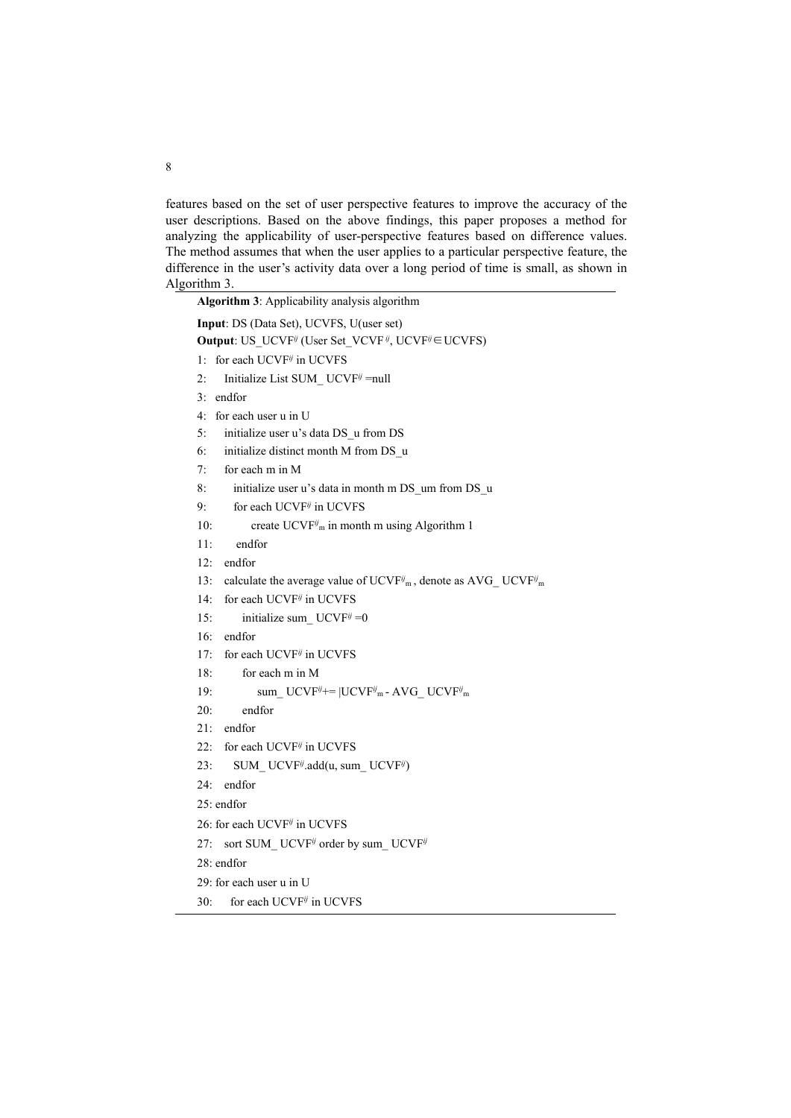features based on the set of user perspective features to improve the accuracy of the user descriptions. Based on the above findings, this paper proposes a method for analyzing the applicability of user-perspective features based on difference values. The method assumes that when the user applies to a particular perspective feature, the difference in the user's activity data over a long period of time is small, as shown in Algorithm 3.

| Algorithm 3: Applicability analysis algorithm                                                             |  |  |  |  |  |  |
|-----------------------------------------------------------------------------------------------------------|--|--|--|--|--|--|
| Input: DS (Data Set), UCVFS, U(user set)                                                                  |  |  |  |  |  |  |
| <b>Output:</b> US UCVF <sup>ij</sup> (User Set VCVF <sup>ij</sup> , UCVF <sup>ij</sup> $\in$ UCVFS)       |  |  |  |  |  |  |
| 1: for each UCVF <sup>ij</sup> in UCVFS                                                                   |  |  |  |  |  |  |
| Initialize List SUM UCVF <sup>ij</sup> =null<br>2:                                                        |  |  |  |  |  |  |
| $3:$ endfor                                                                                               |  |  |  |  |  |  |
| 4: for each user u in U                                                                                   |  |  |  |  |  |  |
| initialize user u's data DS u from DS<br>5:                                                               |  |  |  |  |  |  |
| initialize distinct month M from DS u<br>6:                                                               |  |  |  |  |  |  |
| for each m in M<br>7:                                                                                     |  |  |  |  |  |  |
| initialize user u's data in month m DS um from DS u<br>8:                                                 |  |  |  |  |  |  |
| for each UCVF <sup>ij</sup> in UCVFS<br>9:                                                                |  |  |  |  |  |  |
| create $UCVF^{ij}$ <sub>m</sub> in month m using Algorithm 1<br>10:                                       |  |  |  |  |  |  |
| endfor<br>11:                                                                                             |  |  |  |  |  |  |
| endfor<br>12:                                                                                             |  |  |  |  |  |  |
| 13:<br>calculate the average value of UCVF $^{ij}$ <sub>m</sub> , denote as AVG UCVF $^{ij}$ <sub>m</sub> |  |  |  |  |  |  |
| 14:<br>for each UCVF <sup>ij</sup> in UCVFS                                                               |  |  |  |  |  |  |
| initialize sum $UCVF^{ij} = 0$<br>15:                                                                     |  |  |  |  |  |  |
| endfor<br>16:                                                                                             |  |  |  |  |  |  |
| 17:<br>for each UCVF $\ddot{y}$ in UCVFS                                                                  |  |  |  |  |  |  |
| 18:<br>for each m in M                                                                                    |  |  |  |  |  |  |
| sum UCVF $^{ij}$ +=  UCVF $^{ij}$ <sub>m</sub> - AVG UCVF $^{ij}$ <sub>m</sub><br>19:                     |  |  |  |  |  |  |
| endfor<br>20:                                                                                             |  |  |  |  |  |  |
| endfor<br>21:                                                                                             |  |  |  |  |  |  |
| for each UCVF <sup>ij</sup> in UCVFS<br>22:                                                               |  |  |  |  |  |  |
| 23:<br>SUM UCVF <sup>ij</sup> .add(u, sum UCVF <sup>ij</sup> )                                            |  |  |  |  |  |  |
| endfor<br>24:                                                                                             |  |  |  |  |  |  |
| 25: endfor                                                                                                |  |  |  |  |  |  |
| 26: for each UCVF <sup>ij</sup> in UCVFS                                                                  |  |  |  |  |  |  |
| sort SUM UCVF <sup>ij</sup> order by sum UCVF <sup>ij</sup><br>27:                                        |  |  |  |  |  |  |
| 28: endfor                                                                                                |  |  |  |  |  |  |
| 29: for each user u in U                                                                                  |  |  |  |  |  |  |

30: for each UCVF *ij* in UCVFS

8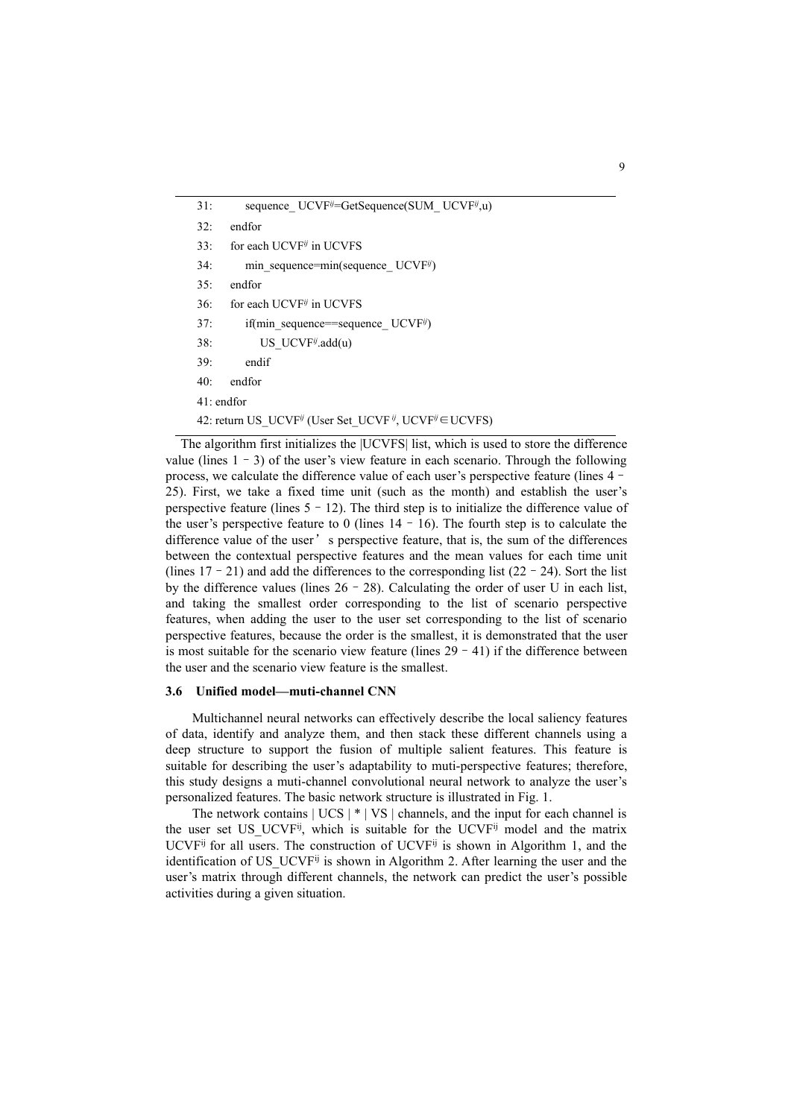| 31:          | sequence $UCVF^{ij}=GetSequence(SUM \ UCVF^{ij},u)$                                             |
|--------------|-------------------------------------------------------------------------------------------------|
| 32:          | endfor                                                                                          |
| 33:          | for each UCVF <sup>ij</sup> in UCVFS                                                            |
| 34:          | min sequence=min(sequence $UCVF^{ij}$ )                                                         |
| 35:          | endfor                                                                                          |
| 36:          | for each UCVF <sup>ij</sup> in UCVFS                                                            |
| 37:          | if(min sequence=sequence UCVFi)                                                                 |
| 38:          | US UCVF $\ddot{\theta}$ .add(u)                                                                 |
| 39:          | endif                                                                                           |
| 40:          | endfor                                                                                          |
| $41:$ endfor |                                                                                                 |
|              | 42: return US UCVF <sup>ij</sup> (User Set UCVF <sup>ij</sup> , UCVF <sup>ij</sup> $\in$ UCVFS) |
|              |                                                                                                 |

The algorithm first initializes the |UCVFS| list, which is used to store the difference value (lines  $1 - 3$ ) of the user's view feature in each scenario. Through the following process, we calculate the difference value of each user's perspective feature (lines 4– 25). First, we take a fixed time unit(such as the month) and establish the user's perspective feature (lines  $5 - 12$ ). The third step is to initialize the difference value of the user's perspective feature to 0 (lines  $14 - 16$ ). The fourth step is to calculate the difference value of the user's perspective feature, that is, the sum of the differences between the contextual perspective features and the mean values for each time unit (lines  $17 - 21$ ) and add the differences to the corresponding list (22–24). Sort the list by the difference values (lines  $26 - 28$ ). Calculating the order of user U in each list, and taking the smallest order corresponding to the list of scenario perspective features, when adding the user to the user set corresponding to the list of scenario perspective features, because the order is the smallest, it is demonstrated that the user is most suitable for the scenario view feature (lines  $29 - 41$ ) if the difference between the user and the scenario view feature is the smallest.

#### **3.6 Unified model—muti-channel CNN**

Multichannel neural networks can effectively describe the local saliency features of data, identify and analyze them, and then stack these different channels using a deep structure to support the fusion of multiple salient features. This feature is suitable for describing the user's adaptability to muti-perspective features; therefore, this study designs a muti-channel convolutional neural network to analyze the user's personalized features. The basic network structure is illustrated in Fig. 1.

The network contains  $|UCS| * |VS|$  channels, and the input for each channel is the user set US\_UCVF<sup>ij</sup>, which is suitable for the UCVF<sup>ij</sup> model and the matrix UCVF<sup>ij</sup> for all users. The construction of UCVF<sup>ij</sup> is shown in Algorithm 1, and the identification of US\_UCVF<sup>ij</sup> is shown in Algorithm 2. After learning the user and the user's matrix through different channels, the network can predict the user's possible activities during a given situation.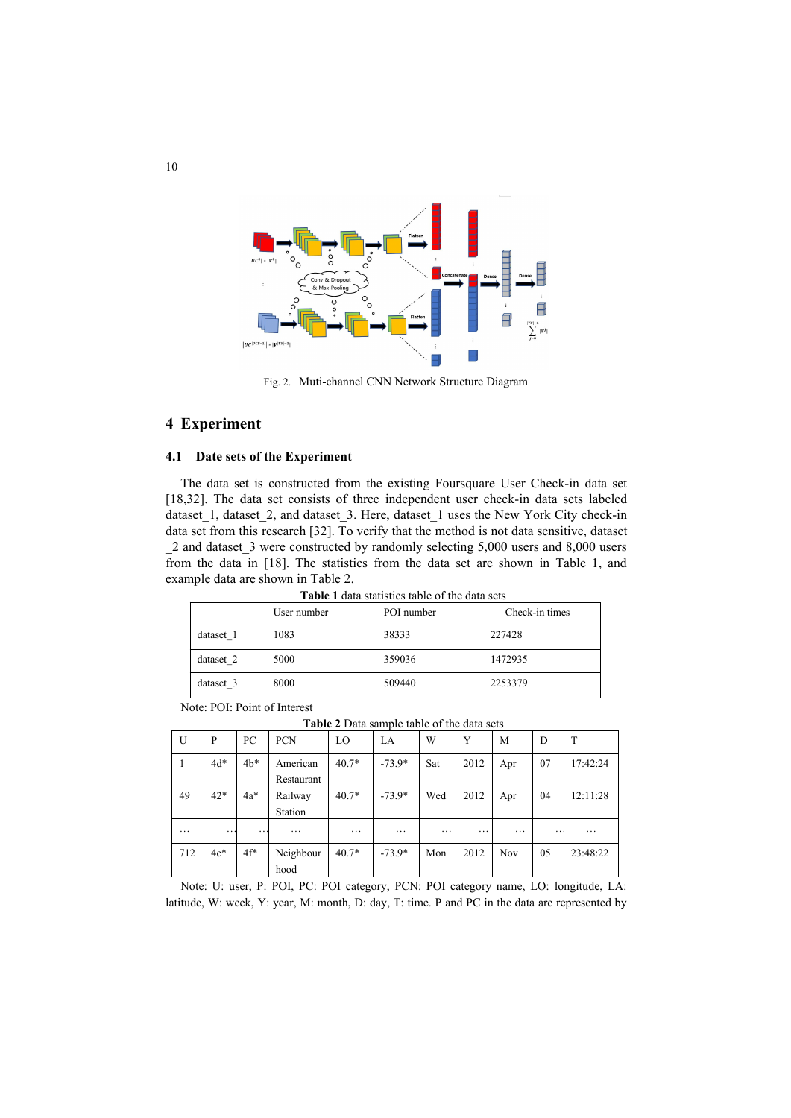

Fig. 2. Muti-channel CNN Network Structure Diagram

# **4 Experiment**

### **4.1 Date sets of the Experiment**

The data set is constructed from the existing Foursquare User Check-in data set [18,32]. The data set consists of three independent user check-in data sets labeled dataset\_1, dataset\_2, and dataset\_3. Here, dataset\_1 uses the New York City check-in data set from this research [32]. To verify that the method is not data sensitive, dataset \_2 and dataset\_3 were constructed by randomly selecting 5,000 users and 8,000 users from the data in [18]. The statistics from the data set are shown in Table 1, and example data are shown in Table 2.

**Table 1** data statistics table of the data sets

|           |             |            | T MILLY T ANNIA PINITIPLE AND IT OF ATT MAIN PEAP. |
|-----------|-------------|------------|----------------------------------------------------|
|           | User number | POI number | Check-in times                                     |
| dataset 1 | 1083        | 38333      | 227428                                             |
| dataset 2 | 5000        | 359036     | 1472935                                            |
| dataset 3 | 8000        | 509440     | 2253379                                            |

Note: POI: Point of Interest

**Table 2** Data sample table of the data sets

| U        | P        | PC     | <b>PCN</b>             | LO       | LA       | W        | Y        | M        | D   | T        |
|----------|----------|--------|------------------------|----------|----------|----------|----------|----------|-----|----------|
| 1        | $4d*$    | $4b*$  | American<br>Restaurant | $40.7*$  | $-73.9*$ | Sat      | 2012     | Apr      | 07  | 17:42:24 |
| 49       | $42*$    | $4a*$  | Railway                | $40.7*$  | $-73.9*$ | Wed      | 2012     | Apr      | 04  | 12:11:28 |
|          |          |        | Station                |          |          |          |          |          |     |          |
| $\cdots$ | $\cdots$ | . .    | $\cdots$               | $\cdots$ | $\cdots$ | $\cdots$ | $\cdots$ | $\cdots$ | . . | $\cdots$ |
| 712      | $4c*$    | $4f^*$ | Neighbour              | $40.7*$  | $-73.9*$ | Mon      | 2012     | Nov      | 05  | 23:48:22 |
|          |          |        | hood                   |          |          |          |          |          |     |          |

Note: U: user, P: POI, PC: POI category, PCN: POI category name, LO: longitude, LA: latitude, W: week, Y: year, M: month, D: day, T: time. P and PC in the data are represented by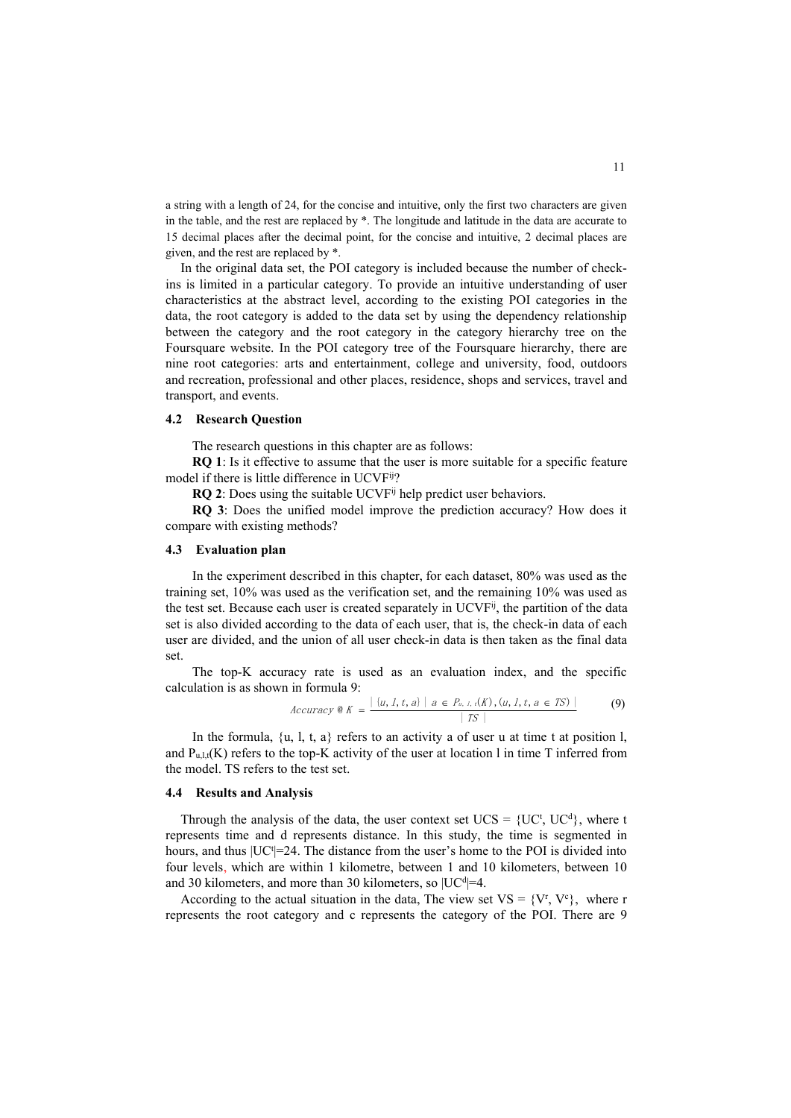a string with a length of 24, for the concise and intuitive, only the first two characters are given in the table, and the rest are replaced by \*. The longitude and latitude in the data are accurate to 15 decimal places after the decimal point, for the concise and intuitive, 2 decimal places are given, and the rest are replaced by \*.

In the original data set, the POI category is included because the number of checkins is limited in a particular category. To provide an intuitive understanding of user characteristics at the abstract level, according to the existing POI categories in the data, the root category is added to the data set by using the dependency relationship between the category and the root category in the category hierarchy tree on the Foursquare website. In the POI category tree of the Foursquare hierarchy, there are nine root categories: arts and entertainment, college and university, food, outdoors and recreation, professional and other places, residence, shops and services, travel and transport, and events.

#### **4.2 Research Question**

The research questions in this chapter are as follows:

**RQ 1**: Is it effective to assume that the user is more suitable for a specific feature model if there is little difference in UCVF ij?

**RQ 2**: Does using the suitable UCVF ij help predict user behaviors.

**RQ 3**: Does the unified model improve the prediction accuracy? How does it compare with existing methods?

#### **4.3 Evaluation plan**

In the experiment described in this chapter, for each dataset, 80% was used as the training set, 10% was used as the verification set, and the remaining 10% was used as the test set. Because each user is created separately in UCVF<sup>ij</sup>, the partition of the data set is also divided according to the data of each user, that is, the check-in data of each user are divided, and the union of all user check-in data isthen taken as the final data set.

The top-K accuracy rate is used as an evaluation index, and the specific calculation is as shown in formula 9:

$$
Accuracy \& K = \frac{|\{u, 1, t, a\}|}{|TS|} \quad (9)
$$

In the formula,  $\{u, l, t, a\}$  refers to an activity a of user u at time t at position l, and  $P_{u,l,t}(K)$  refers to the top-K activity of the user at location l in time T inferred from the model. TS refers to the test set.

#### **4.4 Results and Analysis**

Through the analysis of the data, the user context set  $UCS = \{UC^t, UC^d\}$ , where t represents time and d represents distance. In this study, the time is segmented in hours, and thus  $|UC^t|=24$ . The distance from the user's home to the POI is divided into four levels, which are within 1 kilometre, between 1 and 10 kilometers, between 10 and 30 kilometers, and more than 30 kilometers, so  $|UC^d|=4$ .

According to the actual situation in the data, The view set  $VS = \{V^r, V^c\}$ , where r represents the root category and c represents the category of the POI. There are 9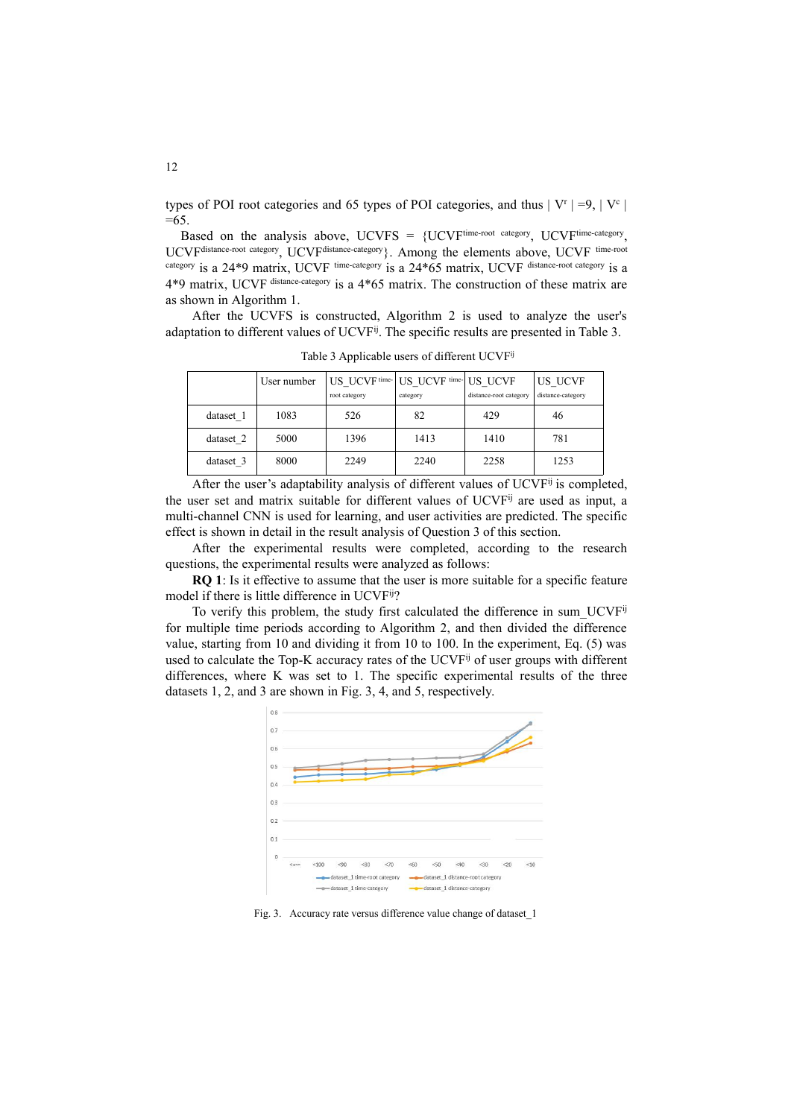types of POI root categories and 65 types of POI categories, and thus  $|V^r| = 9, |V^c|$ |  $=65.$ 

Based on the analysis above,  $UCVFS = \{UCVF^{time-root\ category}, \ UCVF^{time-categor}$ , , UCVF distance-root category, UCVF distance-category }. Among the elements above, UCVF time-root category is a 24\*9 matrix, UCVF <sup>time-category</sup> is a 24\*65 matrix, UCVF distance-root category is a 4\*9 matrix, UCVF distance-category is a 4\*65 matrix. The construction of these matrix are as shown in Algorithm 1.

After the UCVFS is constructed, Algorithm 2 is used to analyze the user's adaptation to different values of UCVF<sup>ij</sup>. The specific results are presented in Table 3.

|           | User number | root category | US UCVF time- US UCVF time- US UCVF<br>category | distance-root category | US UCVF<br>distance-category |
|-----------|-------------|---------------|-------------------------------------------------|------------------------|------------------------------|
| dataset 1 | 1083        | 526           | 82                                              | 429                    | 46                           |
| dataset 2 | 5000        | 1396          | 1413                                            | 1410                   | 781                          |
| dataset 3 | 8000        | 2249          | 2240                                            | 2258                   | 1253                         |

Table 3 Applicable users of different UCVF<sup>ij</sup>

After the user's adaptability analysis of different values of UCVF<sup>ij</sup> is completed, the user set and matrix suitable for different values of UCVF<sup>ij</sup> are used as input, a multi-channel CNN is used for learning, and user activities are predicted. The specific effect is shown in detail in the result analysis of Question 3 of this section.

After the experimental results were completed, according to the research questions, the experimental results were analyzed as follows:

**RQ 1**: Is it effective to assume that the user is more suitable for a specific feature model if there is little difference in UCVF ij?

To verify this problem, the study first calculated the difference in sum\_UCVF<sup>ij</sup> for multiple time periods according to Algorithm 2, and then divided the difference value, starting from 10 and dividing it from 10 to 100. In the experiment, Eq. (5) was used to calculate the Top-K accuracy rates of the UCVF<sup>ij</sup> of user groups with different differences, where K was set to 1. The specific experimental results of the three datasets 1, 2, and 3 are shown in Fig. 3, 4, and 5, respectively.



Fig. 3. Accuracy rate versus difference value change of dataset\_1

12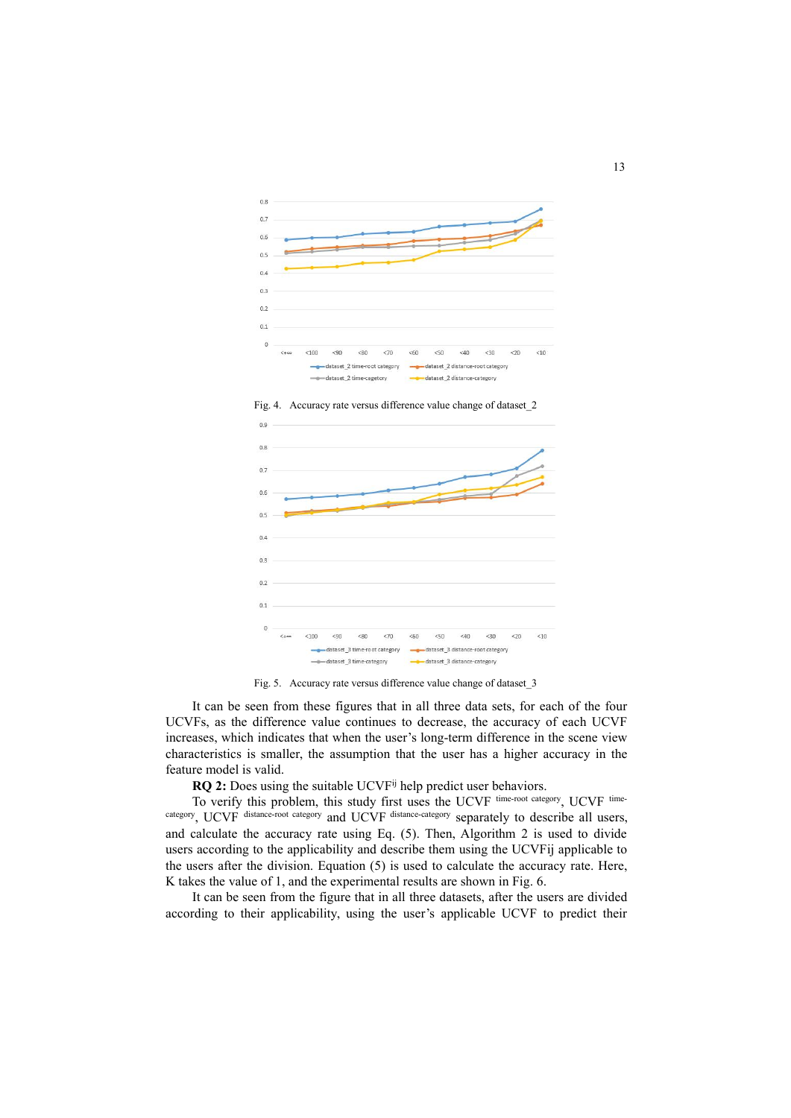

Fig. 4. Accuracy rate versus difference value change of dataset\_2



Fig. 5. Accuracy rate versus difference value change of dataset\_3

It can be seen from these figures that in all three data sets, for each of the four UCVFs, as the difference value continues to decrease, the accuracy of each UCVF increases, which indicates that when the user's long-term difference in the scene view characteristics is smaller, the assumption that the userhas a higher accuracy in the feature model is valid.

**RQ 2:** Does using the suitable UCVF ij help predict user behaviors.

To verify this problem, this study first uses the UCVF time-root category, UCVF timecategory , UCVF distance-root category and UCVF distance-category separately to describe all users, and calculate the accuracy rate using Eq. (5). Then, Algorithm 2 is used to divide users according to the applicability and describe them using the UCVFij applicable to the users after the division. Equation (5) is used to calculate the accuracy rate. Here, K takes the value of 1, and the experimental results are shown in Fig. 6.

It can be seen from the figure that in all three datasets, after the users are divided according to their applicability, using the user's applicable UCVF to predict their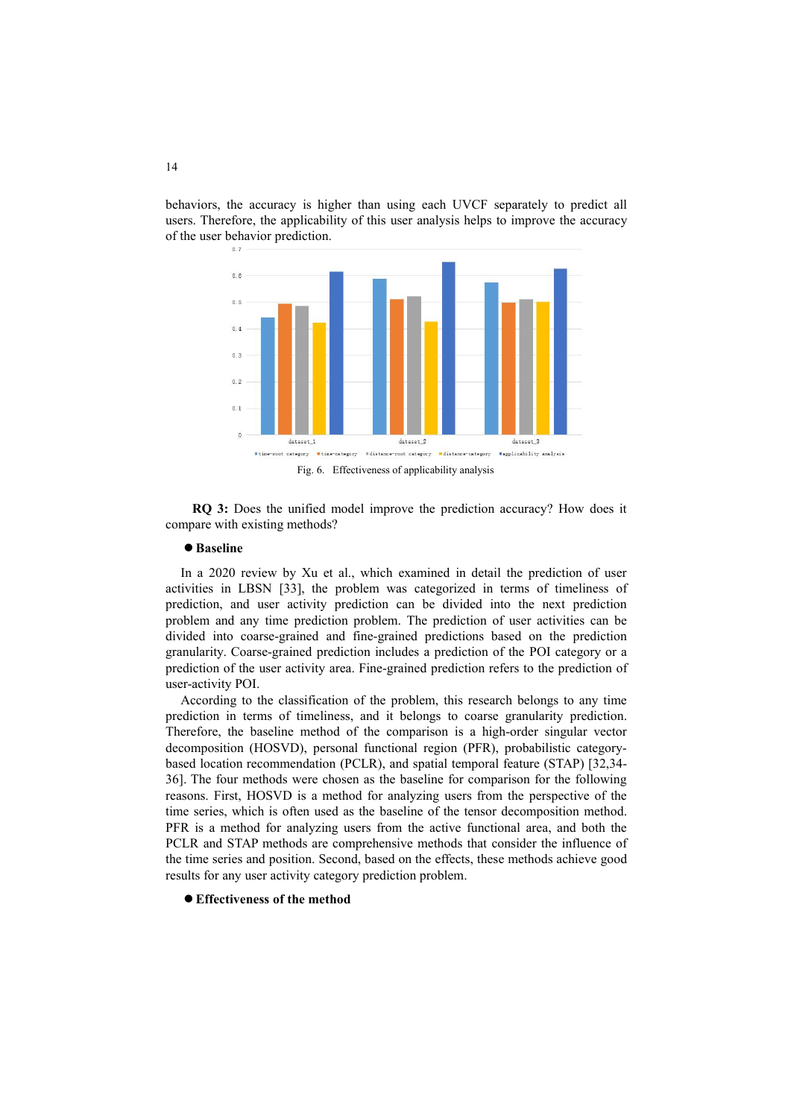



**RQ 3:** Does the unified model improve the prediction accuracy? How does it compare with existing methods?

### **Baseline**

In a 2020 review by Xu et al., which examined in detail the prediction of user activities in LBSN [33], the problem was categorized in terms of timeliness of prediction, and user activity prediction can be divided into the next prediction problem and any time prediction problem. The prediction of user activities can be divided into coarse-grained and fine-grained predictions based on the prediction granularity. Coarse-grained prediction includes a prediction of the POI category or a prediction of the user activity area. Fine-grained prediction refers to the prediction of user-activity POI.

According to the classification of the problem, this research belongs to any time prediction in terms of timeliness, and it belongs to coarse granularity prediction.Therefore, the baseline method of the comparison is <sup>a</sup> high-order singular vector decomposition (HOSVD), personal functional region (PFR), probabilistic category based location recommendation (PCLR), and spatial temporal feature (STAP) [32,34- 36]. The four methods were chosen as the baseline for comparison for the following reasons. First, HOSVD is a method for analyzing users from the perspective of the time series, which is often used as the baseline of the tensor decomposition method. PFR is a method for analyzing users from the active functional area, and both the PCLR and STAP methods are comprehensive methods that consider the influence of the time series and position. Second, based on the effects, these methods achieve good results for any user activity category prediction problem.

**Effectiveness of the method**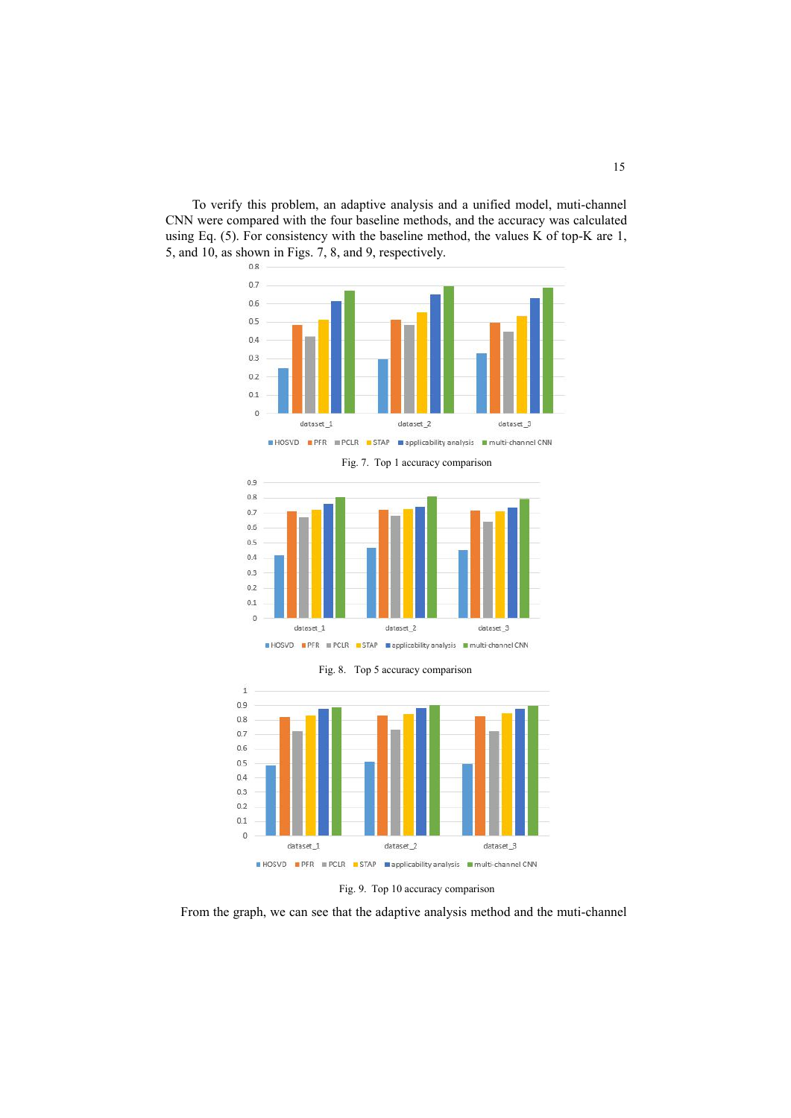





Ì



Fig. 9. Top 10 accuracy comparison

From the graph, we can see that the adaptive analysis method and the muti-channel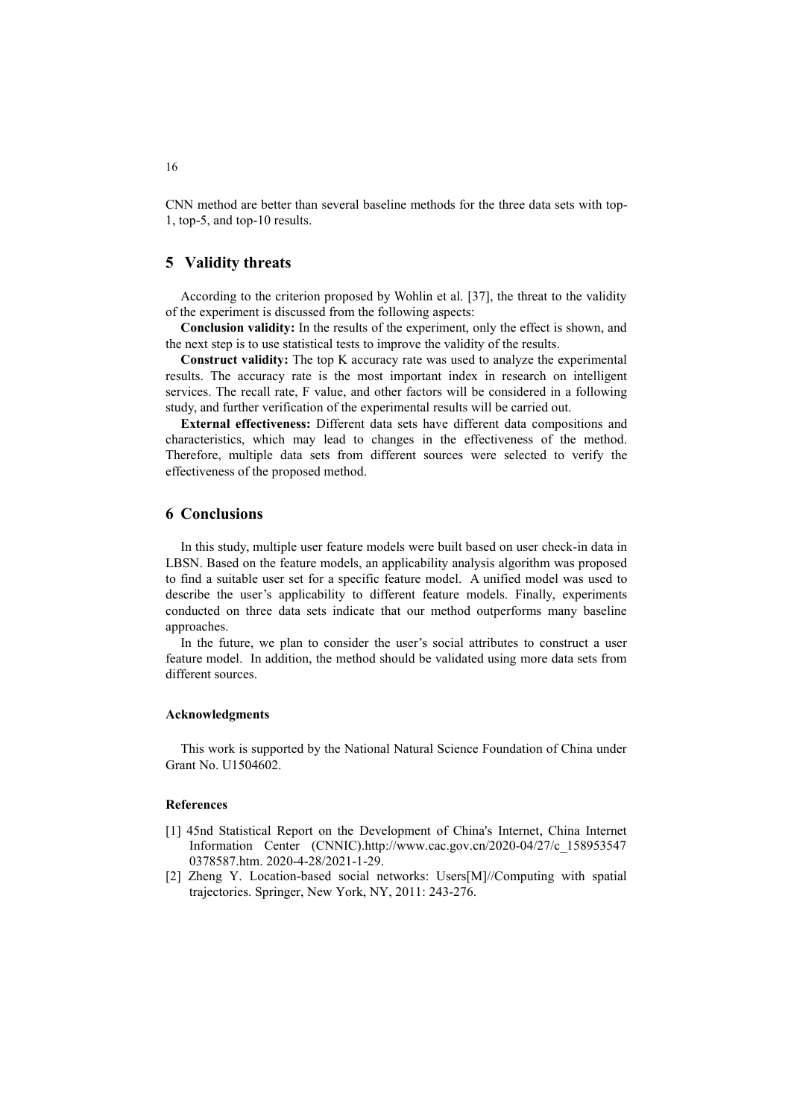CNN method are better than several baseline methods for the three data sets with top-1, top-5, and top-10 results.

### **5 Validity threats**

According to the criterion proposed by Wohlin et al. [37], the threat to the validity of the experiment is discussed from the following aspects:

**Conclusion validity:** In the results of the experiment, only the effect is shown, and the next step is to use statistical tests to improve the validity of the results.

**Construct validity:** The top K accuracy rate was used to analyze the experimental results. The accuracy rate is the most important index in research on intelligent services. The recall rate, F value, and other factors will be considered in a following study, and further verification of the experimental results will be carried out.

**External effectiveness:** Different data sets have different data compositions and characteristics, which may lead to changes in the effectiveness of the method. Therefore, multiple data sets from different sources were selected to verify the effectiveness of the proposed method.

### **6 Conclusions**

In this study, multiple user feature models were built based on user check-in data in LBSN. Based on the feature models, an applicability analysis algorithm was proposed to find a suitable user set for a specific feature model. A unified model was used to describe the user's applicability to different feature models. Finally, experiments conducted on three data sets indicate that our method outperforms many baseline approaches.

In the future, we plan to consider the user's social attributes to construct a user feature model. In addition, the method should be validated using more data sets from different sources.

### **Acknowledgments**

This work is supported by the National Natural Science Foundation of China under Grant No. U1504602.

### **References**

- [1] 45nd Statistical Report on the Development of China's Internet, China Internet Information Center (CNNIC).http://www.cac.gov.cn/2020-04/27/c\_158953547 0378587.htm. 2020-4-28/2021-1-29.
- [2] Zheng Y. Location-based social networks: Users[M]//Computing with spatial trajectories. Springer, New York, NY, 2011: 243-276.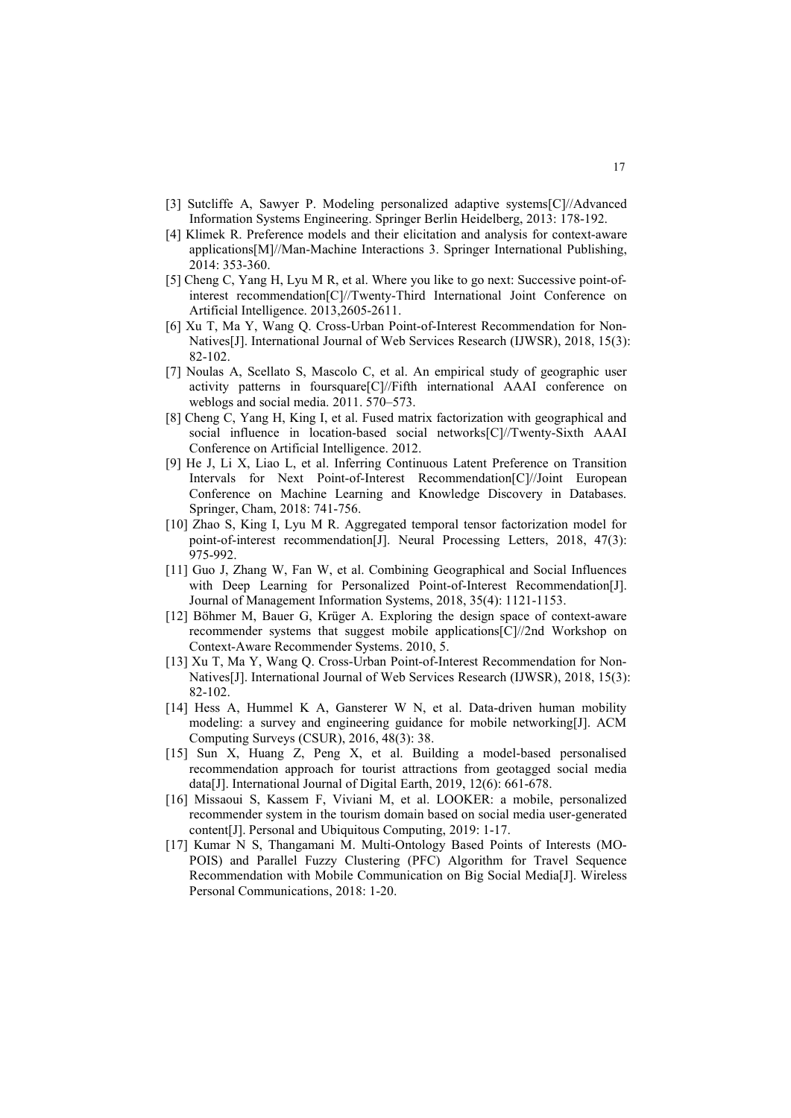- [3] Sutcliffe A, Sawyer P. Modeling personalized adaptive systems[C]//Advanced Information Systems Engineering. Springer Berlin Heidelberg, 2013: 178-192.
- [4] Klimek R. Preference models and their elicitation and analysis for context-aware applications[M]//Man-Machine Interactions 3. Springer International Publishing, 2014: 353-360.
- [5] Cheng C, Yang H, Lyu M R, et al. Where you like to go next: Successive point-ofinterest recommendation[C]//Twenty-Third International Joint Conference on Artificial Intelligence. 2013,2605-2611.
- [6] Xu T, Ma Y, Wang Q. Cross-Urban Point-of-Interest Recommendation for Non- Natives[J]. International Journal of Web Services Research (IJWSR), 2018, 15(3): 82-102.
- [7] Noulas A, Scellato S, Mascolo C, et al. An empirical study of geographic user activity patterns in foursquare[C]//Fifth international AAAI conference on weblogs and social media. 2011. 570–573.
- [8] Cheng C, Yang H, King I, et al. Fused matrix factorization with geographical and social influence in location-based social networks[C]//Twenty-Sixth AAAI Conference on Artificial Intelligence. 2012.
- [9] He J, Li X, Liao L, et al. Inferring Continuous Latent Preference on Transition Intervals for Next Point-of-Interest Recommendation[C]//Joint European Conference on Machine Learning and Knowledge Discovery in Databases. Springer, Cham, 2018: 741-756.
- [10] Zhao S, King I, Lyu M R. Aggregated temporal tensor factorization model for point-of-interest recommendation[J]. Neural Processing Letters, 2018, 47(3): 975-992.
- [11] Guo J, Zhang W, Fan W, et al. Combining Geographical and Social Influences with Deep Learning for Personalized Point-of-Interest Recommendation[J]. Journal of Management Information Systems, 2018, 35(4): 1121-1153.
- [12] Böhmer M, Bauer G, Krüger A. Exploring the design space of context-aware recommender systems that suggest mobile applications[C]//2nd Workshop on Context-Aware Recommender Systems. 2010, 5.
- [13] Xu T, Ma Y, Wang Q. Cross-Urban Point-of-Interest Recommendation for Non- Natives[J]. International Journal of Web Services Research (IJWSR), 2018, 15(3): 82-102.
- [14] Hess A, Hummel K A, Gansterer W N, et al. Data-driven human mobility modeling: a survey and engineering guidance for mobile networking[J]. ACM Computing Surveys (CSUR), 2016, 48(3): 38.
- [15] Sun X, Huang Z, Peng X, et al. Building a model-based personalised recommendation approach for tourist attractions from geotagged social media data[J]. International Journal of Digital Earth, 2019, 12(6): 661-678.
- [16] Missaoui S, Kassem F, Viviani M, et al. LOOKER: a mobile, personalized recommender system in the tourism domain based on social media user-generated content[J]. Personal and Ubiquitous Computing, 2019: 1-17.
- [17] Kumar N S, Thangamani M. Multi-Ontology Based Points of Interests (MO- POIS) and Parallel Fuzzy Clustering (PFC) Algorithm for Travel Sequence Recommendation with Mobile Communication on Big Social Media[J]. Wireless Personal Communications, 2018: 1-20.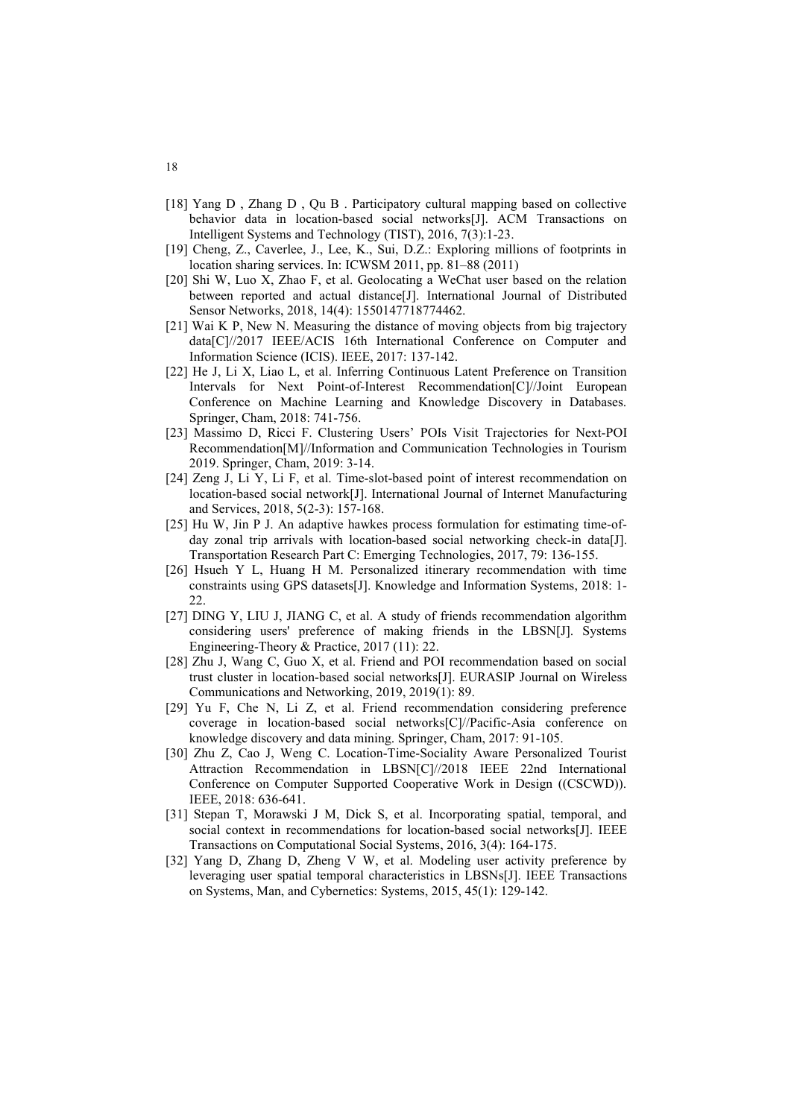- [18] Yang D , Zhang D , Qu B . Participatory cultural mapping based on collective behavior data in location-based social networks[J]. ACM Transactions on Intelligent Systems and Technology (TIST), 2016, 7(3):1-23.
- [19] Cheng, Z., Caverlee, J., Lee, K., Sui, D.Z.: Exploring millions of footprints in location sharing services. In: ICWSM 2011, pp. 81–88 (2011)
- [20] Shi W, Luo X, Zhao F, et al. Geolocating a WeChat user based on the relation between reported and actual distance[J]. International Journal of Distributed Sensor Networks, 2018, 14(4): 1550147718774462.
- [21] Wai K P, New N. Measuring the distance of moving objects from big trajectory data[C]//2017 IEEE/ACIS 16th International Conference on Computer and Information Science (ICIS). IEEE, 2017: 137-142.
- [22] He J, Li X, Liao L, et al. Inferring Continuous Latent Preference on Transition Intervals for Next Point-of-Interest Recommendation[C]//Joint European Conference on Machine Learning and Knowledge Discovery in Databases. Springer, Cham, 2018: 741-756.
- [23] Massimo D, Ricci F. Clustering Users' POIs Visit Trajectories for Next-POI Recommendation[M]//Information and Communication Technologies in Tourism 2019. Springer, Cham, 2019: 3-14.
- [24] Zeng J, Li Y, Li F, et al. Time-slot-based point of interest recommendation on location-based social network[J]. International Journal of Internet Manufacturing and Services, 2018, 5(2-3): 157-168.
- [25] Hu W, Jin P J. An adaptive hawkes process formulation for estimating time-of day zonal trip arrivals with location-based social networking check-in data[J]. Transportation Research Part C: Emerging Technologies, 2017, 79: 136-155.
- [26] Hsueh Y L, Huang H M. Personalized itinerary recommendation with time constraints using GPS datasets[J]. Knowledge and Information Systems, 2018: 1- 22.
- [27] DING Y, LIU J, JIANG C, et al. A study of friends recommendation algorithm considering users' preference of making friends in the LBSN[J]. Systems Engineering-Theory & Practice, 2017 (11): 22.
- [28] Zhu J, Wang C, Guo X, et al. Friend and POI recommendation based on social trust cluster in location-based social networks[J]. EURASIP Journal on Wireless Communications and Networking, 2019, 2019(1): 89.
- [29] Yu F, Che N, Li Z, et al. Friend recommendation considering preference coverage in location-based social networks[C]//Pacific-Asia conference on knowledge discovery and data mining. Springer, Cham, 2017: 91-105.
- [30] Zhu Z, Cao J, Weng C. Location-Time-Sociality Aware Personalized Tourist Attraction Recommendation in LBSN[C]//2018 IEEE 22nd International Conference on Computer Supported Cooperative Work in Design ((CSCWD)). IEEE, 2018: 636-641.
- [31] Stepan T, Morawski J M, Dick S, et al. Incorporating spatial, temporal, and social context in recommendations for location-based social networks[J]. IEEE Transactions on Computational Social Systems, 2016, 3(4): 164-175.
- [32] Yang D, Zhang D, Zheng V W, et al. Modeling user activity preference by leveraging user spatial temporal characteristics in LBSNs[J]. IEEE Transactions on Systems, Man, and Cybernetics: Systems, 2015, 45(1): 129-142.